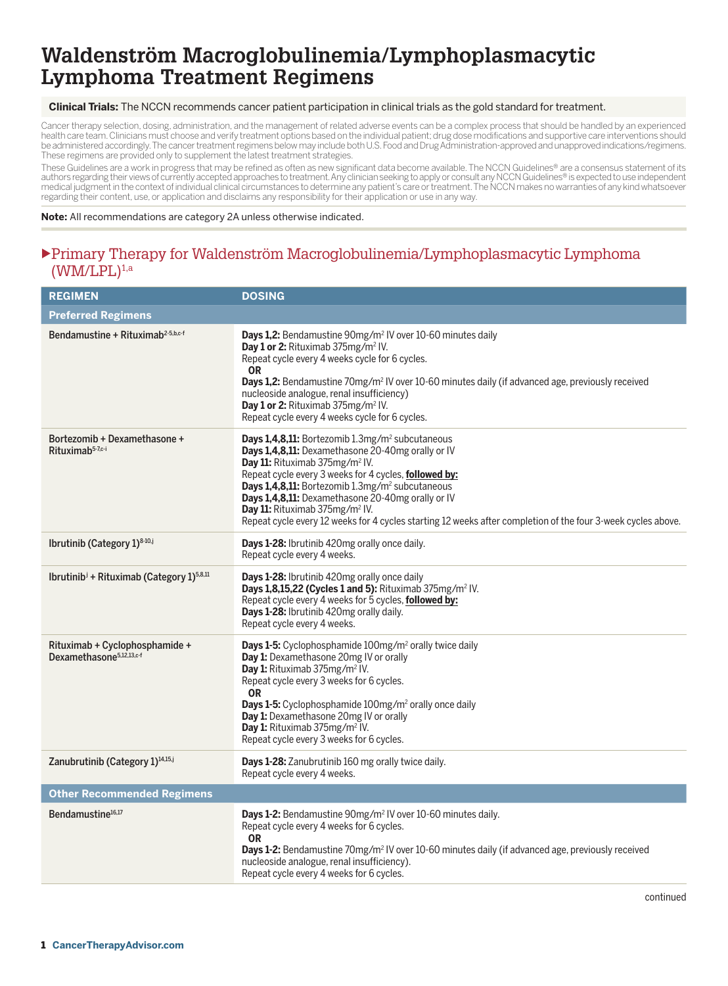#### **Clinical Trials:** The NCCN recommends cancer patient participation in clinical trials as the gold standard for treatment.

Cancer therapy selection, dosing, administration, and the management of related adverse events can be a complex process that should be handled by an experienced health care team. Clinicians must choose and verify treatment options based on the individual patient; drug dose modifications and supportive care interventions should<br>be administered accordingly. The cancer treatment regi These regimens are provided only to supplement the latest treatment strategies.

These Guidelines are a work in progress that may be refined as often as new significant data become available. The NCCN Guidelines® are a consensus statement of its authors regarding their views of currently accepted approaches to treatment. Any clinician seeking to apply or consult any NCCN Guidelines® is expected to use independent medical judgment in the context of individual clinical circumstances to determine any patient's care or treatment. The NCCN makes no warranties of any kind whatsoever regarding their content, use, or application and disclaims any responsibility for their application or use in any way.

**Note:** All recommendations are category 2A unless otherwise indicated.

#### uPrimary Therapy for Waldenström Macroglobulinemia/Lymphoplasmacytic Lymphoma  $(WM/LPL)^{1,a}$

| <b>REGIMEN</b>                                                         | <b>DOSING</b>                                                                                                                                                                                                                                                                                                                                                                                                                                                                                             |
|------------------------------------------------------------------------|-----------------------------------------------------------------------------------------------------------------------------------------------------------------------------------------------------------------------------------------------------------------------------------------------------------------------------------------------------------------------------------------------------------------------------------------------------------------------------------------------------------|
| <b>Preferred Regimens</b>                                              |                                                                                                                                                                                                                                                                                                                                                                                                                                                                                                           |
| Bendamustine + Rituximab <sup>2-5,b,c-f</sup>                          | Days 1,2: Bendamustine 90mg/m <sup>2</sup> IV over 10-60 minutes daily<br>Day 1 or 2: Rituximab 375mg/m <sup>2</sup> IV.<br>Repeat cycle every 4 weeks cycle for 6 cycles.<br><b>OR</b><br><b>Days 1,2:</b> Bendamustine 70mg/m <sup>2</sup> IV over 10-60 minutes daily (if advanced age, previously received<br>nucleoside analogue, renal insufficiency)<br>Day 1 or 2: Rituximab 375mg/m <sup>2</sup> IV.<br>Repeat cycle every 4 weeks cycle for 6 cycles.                                           |
| Bortezomib + Dexamethasone +<br>Rituximab <sup>5-7,c-i</sup>           | Days 1,4,8,11: Bortezomib 1.3mg/m <sup>2</sup> subcutaneous<br>Days 1,4,8,11: Dexamethasone 20-40mg orally or IV<br>Day 11: Rituximab 375mg/m <sup>2</sup> IV.<br>Repeat cycle every 3 weeks for 4 cycles, followed by:<br>Days 1,4,8,11: Bortezomib 1.3mg/m <sup>2</sup> subcutaneous<br>Days 1,4,8,11: Dexamethasone 20-40mg orally or IV<br>Day 11: Rituximab 375mg/m <sup>2</sup> IV.<br>Repeat cycle every 12 weeks for 4 cycles starting 12 weeks after completion of the four 3-week cycles above. |
| Ibrutinib (Category 1)8-10,j                                           | Days 1-28: Ibrutinib 420mg orally once daily.<br>Repeat cycle every 4 weeks.                                                                                                                                                                                                                                                                                                                                                                                                                              |
| Ibrutinib <sup>i</sup> + Rituximab (Category 1) <sup>5,8,11</sup>      | Days 1-28: Ibrutinib 420mg orally once daily<br>Days 1,8,15,22 (Cycles 1 and 5): Rituximab 375mg/m <sup>2</sup> IV.<br>Repeat cycle every 4 weeks for 5 cycles, followed by:<br>Days 1-28: Ibrutinib 420mg orally daily.<br>Repeat cycle every 4 weeks.                                                                                                                                                                                                                                                   |
| Rituximab + Cyclophosphamide +<br>Dexamethasone <sup>5,12,13,c-f</sup> | Days 1-5: Cyclophosphamide 100mg/m <sup>2</sup> orally twice daily<br>Day 1: Dexamethasone 20mg IV or orally<br>Day 1: Rituximab 375mg/m <sup>2</sup> IV.<br>Repeat cycle every 3 weeks for 6 cycles.<br><b>OR</b><br>Days 1-5: Cyclophosphamide 100mg/m <sup>2</sup> orally once daily<br>Day 1: Dexamethasone 20mg IV or orally<br>Day 1: Rituximab 375mg/m <sup>2</sup> IV.<br>Repeat cycle every 3 weeks for 6 cycles.                                                                                |
| Zanubrutinib (Category 1) <sup>14,15,j</sup>                           | Days 1-28: Zanubrutinib 160 mg orally twice daily.<br>Repeat cycle every 4 weeks.                                                                                                                                                                                                                                                                                                                                                                                                                         |
| <b>Other Recommended Regimens</b>                                      |                                                                                                                                                                                                                                                                                                                                                                                                                                                                                                           |
| Bendamustine <sup>16,17</sup>                                          | Days 1-2: Bendamustine 90mg/m <sup>2</sup> IV over 10-60 minutes daily.<br>Repeat cycle every 4 weeks for 6 cycles.<br><b>OR</b><br>Days 1-2: Bendamustine 70mg/m <sup>2</sup> IV over 10-60 minutes daily (if advanced age, previously received<br>nucleoside analogue, renal insufficiency).<br>Repeat cycle every 4 weeks for 6 cycles.                                                                                                                                                                |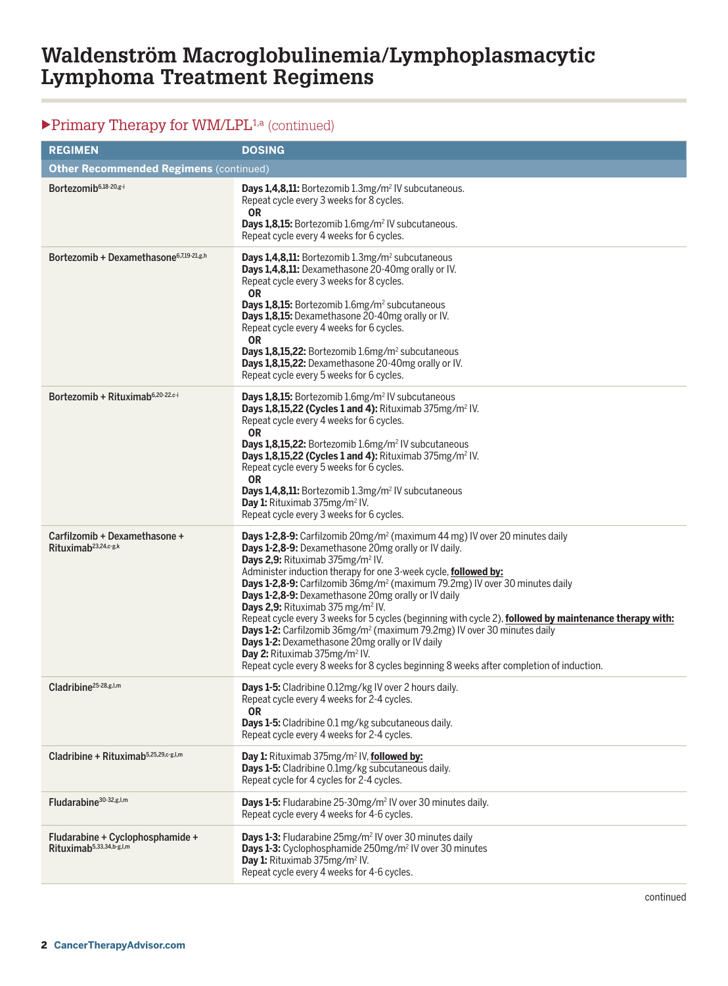### $\blacktriangleright$  Primary Therapy for WM/LPL<sup>1,a</sup> (continued)

| <b>REGIMEN</b>                                                           | <b>DOSING</b>                                                                                                                                                                                                                                                                                                                                                                                                                                                                                                                                                                                                                                                                                                                                                                                                                                                                           |  |
|--------------------------------------------------------------------------|-----------------------------------------------------------------------------------------------------------------------------------------------------------------------------------------------------------------------------------------------------------------------------------------------------------------------------------------------------------------------------------------------------------------------------------------------------------------------------------------------------------------------------------------------------------------------------------------------------------------------------------------------------------------------------------------------------------------------------------------------------------------------------------------------------------------------------------------------------------------------------------------|--|
| <b>Other Recommended Regimens (continued)</b>                            |                                                                                                                                                                                                                                                                                                                                                                                                                                                                                                                                                                                                                                                                                                                                                                                                                                                                                         |  |
| Bortezomib <sup>6,18-20,g-i</sup>                                        | Days 1,4,8,11: Bortezomib 1.3mg/m <sup>2</sup> IV subcutaneous.<br>Repeat cycle every 3 weeks for 8 cycles.<br><b>OR</b><br>Days 1,8,15: Bortezomib 1.6mg/m <sup>2</sup> IV subcutaneous.<br>Repeat cycle every 4 weeks for 6 cycles.                                                                                                                                                                                                                                                                                                                                                                                                                                                                                                                                                                                                                                                   |  |
| Bortezomib + Dexamethasone <sup>6,7,19-21,g,h</sup>                      | <b>Days 1,4,8,11:</b> Bortezomib 1.3mg/m <sup>2</sup> subcutaneous<br>Days 1,4,8,11: Dexamethasone 20-40mg orally or IV.<br>Repeat cycle every 3 weeks for 8 cycles.<br><b>OR</b><br>Days 1,8,15: Bortezomib 1.6mg/m <sup>2</sup> subcutaneous<br>Days 1,8,15: Dexamethasone 20-40mg orally or IV.<br>Repeat cycle every 4 weeks for 6 cycles.<br><b>OR</b><br>Days 1,8,15,22: Bortezomib 1.6mg/m <sup>2</sup> subcutaneous<br>Days 1,8,15,22: Dexamethasone 20-40mg orally or IV.<br>Repeat cycle every 5 weeks for 6 cycles.                                                                                                                                                                                                                                                                                                                                                          |  |
| Bortezomib + Rituximab <sup>6,20-22.c-i</sup>                            | Days 1,8,15: Bortezomib 1.6mg/m <sup>2</sup> IV subcutaneous<br>Days 1,8,15,22 (Cycles 1 and 4): Rituximab 375mg/m <sup>2</sup> IV.<br>Repeat cycle every 4 weeks for 6 cycles.<br><b>OR</b><br>Days 1,8,15,22: Bortezomib 1.6mg/m <sup>2</sup> IV subcutaneous<br>Days 1,8,15,22 (Cycles 1 and 4): Rituximab 375mg/m <sup>2</sup> IV.<br>Repeat cycle every 5 weeks for 6 cycles.<br><b>OR</b><br>Days 1,4,8,11: Bortezomib 1.3mg/m <sup>2</sup> IV subcutaneous<br>Day 1: Rituximab 375mg/m <sup>2</sup> IV.<br>Repeat cycle every 3 weeks for 6 cycles.                                                                                                                                                                                                                                                                                                                              |  |
| Carfilzomib + Dexamethasone +<br>Rituximab <sup>23,24,c-g,k</sup>        | <b>Days 1-2,8-9:</b> Carfilzomib 20mg/m <sup>2</sup> (maximum 44 mg) IV over 20 minutes daily<br>Days 1-2,8-9: Dexamethasone 20mg orally or IV daily.<br>Days 2,9: Rituximab 375mg/m <sup>2</sup> IV.<br>Administer induction therapy for one 3-week cycle, followed by:<br><b>Days 1-2,8-9:</b> Carfilzomib 36mg/m <sup>2</sup> (maximum 79.2mg) IV over 30 minutes daily<br>Days 1-2,8-9: Dexamethasone 20mg orally or IV daily<br>Days 2,9: Rituximab 375 mg/m <sup>2</sup> IV.<br>Repeat cycle every 3 weeks for 5 cycles (beginning with cycle 2), followed by maintenance therapy with:<br><b>Days 1-2:</b> Carfilzomib 36mg/m <sup>2</sup> (maximum 79.2mg) IV over 30 minutes daily<br>Days 1-2: Dexamethasone 20mg orally or IV daily<br>Day 2: Rituximab 375mg/m <sup>2</sup> IV.<br>Repeat cycle every 8 weeks for 8 cycles beginning 8 weeks after completion of induction. |  |
| Cladribine <sup>25-28,g,l,m</sup>                                        | Days 1-5: Cladribine 0.12mg/kg IV over 2 hours daily.<br>Repeat cycle every 4 weeks for 2-4 cycles.<br><b>OR</b><br>Days 1-5: Cladribine 0.1 mg/kg subcutaneous daily.<br>Repeat cycle every 4 weeks for 2-4 cycles.                                                                                                                                                                                                                                                                                                                                                                                                                                                                                                                                                                                                                                                                    |  |
| Cladribine + Rituximab <sup>5,25,29,c-g,l,m</sup>                        | Day 1: Rituximab 375mg/m <sup>2</sup> IV, followed by:<br>Days 1-5: Cladribine 0.1mg/kg subcutaneous daily.<br>Repeat cycle for 4 cycles for 2-4 cycles.                                                                                                                                                                                                                                                                                                                                                                                                                                                                                                                                                                                                                                                                                                                                |  |
| Fludarabine <sup>30-32,g,l,m</sup>                                       | Days 1-5: Fludarabine 25-30mg/m <sup>2</sup> IV over 30 minutes daily.<br>Repeat cycle every 4 weeks for 4-6 cycles.                                                                                                                                                                                                                                                                                                                                                                                                                                                                                                                                                                                                                                                                                                                                                                    |  |
| Fludarabine + Cyclophosphamide +<br>Rituximab <sup>5,33,34,b-g,l,m</sup> | <b>Days 1-3:</b> Fludarabine 25mg/m <sup>2</sup> IV over 30 minutes daily<br>Days 1-3: Cyclophosphamide 250mg/m <sup>2</sup> IV over 30 minutes<br>Day 1: Rituximab 375mg/m <sup>2</sup> IV.<br>Repeat cycle every 4 weeks for 4-6 cycles.                                                                                                                                                                                                                                                                                                                                                                                                                                                                                                                                                                                                                                              |  |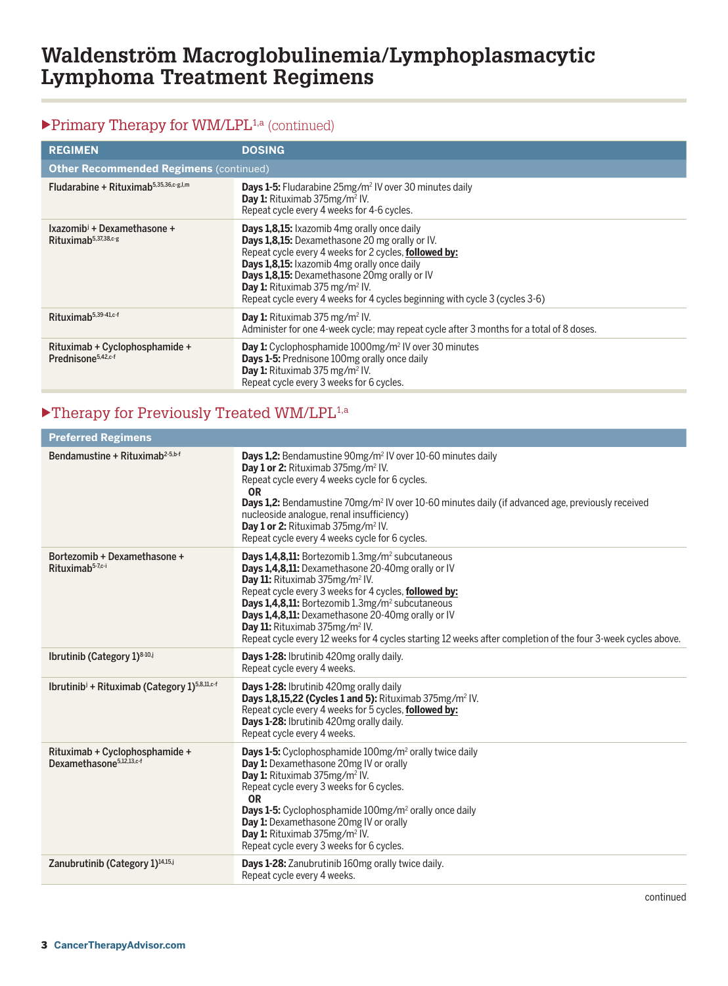### $\blacktriangleright$  Primary Therapy for WM/LPL<sup>1,a</sup> (continued)

| <b>REGIMEN</b>                                                              | <b>DOSING</b>                                                                                                                                                                                                                                                                                                                                                                             |  |
|-----------------------------------------------------------------------------|-------------------------------------------------------------------------------------------------------------------------------------------------------------------------------------------------------------------------------------------------------------------------------------------------------------------------------------------------------------------------------------------|--|
| <b>Other Recommended Regimens (continued)</b>                               |                                                                                                                                                                                                                                                                                                                                                                                           |  |
| Fludarabine + Rituximab <sup>5,35,36,c-g,l,m</sup>                          | <b>Days 1-5:</b> Fludarabine 25mg/m <sup>2</sup> IV over 30 minutes daily<br><b>Day 1:</b> Rituximab $375$ mg/m <sup>2</sup> IV.<br>Repeat cycle every 4 weeks for 4-6 cycles.                                                                                                                                                                                                            |  |
| Ixazomib <sup>j</sup> + Dexamethasone +<br>Rituximab <sup>5,37,38,c-g</sup> | Days 1,8,15: Ixazomib 4mg orally once daily<br>Days 1,8,15: Dexamethasone 20 mg orally or IV.<br>Repeat cycle every 4 weeks for 2 cycles, followed by:<br>Days 1,8,15: Ixazomib 4mg orally once daily<br>Days 1,8,15: Dexamethasone 20mg orally or IV<br><b>Day 1:</b> Rituximab 375 mg/m <sup>2</sup> IV.<br>Repeat cycle every 4 weeks for 4 cycles beginning with cycle 3 (cycles 3-6) |  |
| $Rituxima b5,39-41,c-f$                                                     | <b>Day 1:</b> Rituximab 375 mg/m <sup>2</sup> IV.<br>Administer for one 4-week cycle; may repeat cycle after 3 months for a total of 8 doses.                                                                                                                                                                                                                                             |  |
| Rituximab + Cyclophosphamide +<br>Prednisone <sup>5,42,c-f</sup>            | <b>Day 1:</b> Cyclophosphamide 1000mg/m <sup>2</sup> IV over 30 minutes<br>Days 1-5: Prednisone 100mg orally once daily<br>Day 1: Rituximab 375 mg/m <sup>2</sup> IV.<br>Repeat cycle every 3 weeks for 6 cycles.                                                                                                                                                                         |  |

### $\blacktriangleright$  Therapy for Previously Treated WM/LPL<sup>1,a</sup>

| <b>Preferred Regimens</b>                                              |                                                                                                                                                                                                                                                                                                                                                                                                                                                                                                                  |  |
|------------------------------------------------------------------------|------------------------------------------------------------------------------------------------------------------------------------------------------------------------------------------------------------------------------------------------------------------------------------------------------------------------------------------------------------------------------------------------------------------------------------------------------------------------------------------------------------------|--|
| Bendamustine + Rituximab <sup>2-5,b-f</sup>                            | <b>Days 1.2:</b> Bendamustine 90mg/m <sup>2</sup> IV over 10-60 minutes daily<br>Day 1 or 2: Rituximab 375mg/m <sup>2</sup> IV.<br>Repeat cycle every 4 weeks cycle for 6 cycles.<br><b>OR</b><br><b>Days 1.2:</b> Bendamustine 70mg/m <sup>2</sup> IV over 10-60 minutes daily (if advanced age, previously received<br>nucleoside analogue, renal insufficiency)<br>Day 1 or 2: Rituximab 375mg/m <sup>2</sup> IV.<br>Repeat cycle every 4 weeks cycle for 6 cycles.                                           |  |
| Bortezomib + Dexamethasone +<br>Rituximab <sup>5-7,c-i</sup>           | <b>Days 1,4,8,11:</b> Bortezomib 1.3mg/m <sup>2</sup> subcutaneous<br>Days 1,4,8,11: Dexamethasone 20-40mg orally or IV<br>Day 11: Rituximab 375mg/m <sup>2</sup> IV.<br>Repeat cycle every 3 weeks for 4 cycles, followed by:<br>Days 1,4,8,11: Bortezomib 1.3mg/m <sup>2</sup> subcutaneous<br>Days 1,4,8,11: Dexamethasone 20-40mg orally or IV<br>Day 11: Rituximab 375mg/m <sup>2</sup> IV.<br>Repeat cycle every 12 weeks for 4 cycles starting 12 weeks after completion of the four 3-week cycles above. |  |
| Ibrutinib (Category 1) <sup>8-10,j</sup>                               | Days 1-28: Ibrutinib 420mg orally daily.<br>Repeat cycle every 4 weeks.                                                                                                                                                                                                                                                                                                                                                                                                                                          |  |
| Ibrutinib <sup>j</sup> + Rituximab (Category 1) <sup>5,8,11,c-f</sup>  | Days 1-28: Ibrutinib 420mg orally daily<br>Days 1,8,15,22 (Cycles 1 and 5): Rituximab 375mg/m <sup>2</sup> IV.<br>Repeat cycle every 4 weeks for 5 cycles, followed by:<br>Days 1-28: Ibrutinib 420mg orally daily.<br>Repeat cycle every 4 weeks.                                                                                                                                                                                                                                                               |  |
| Rituximab + Cyclophosphamide +<br>Dexamethasone <sup>5,12,13,c-f</sup> | <b>Days 1-5:</b> Cyclophosphamide 100mg/m <sup>2</sup> orally twice daily<br>Day 1: Dexamethasone 20mg IV or orally<br>Day 1: Rituximab 375mg/m <sup>2</sup> IV.<br>Repeat cycle every 3 weeks for 6 cycles.<br><b>OR</b><br><b>Days 1-5:</b> Cyclophosphamide 100mg/m <sup>2</sup> orally once daily<br>Day 1: Dexamethasone 20mg IV or orally<br>Day 1: Rituximab 375mg/m <sup>2</sup> IV.<br>Repeat cycle every 3 weeks for 6 cycles.                                                                         |  |
| Zanubrutinib (Category 1) <sup>14,15,j</sup>                           | Days 1-28: Zanubrutinib 160mg orally twice daily.<br>Repeat cycle every 4 weeks.                                                                                                                                                                                                                                                                                                                                                                                                                                 |  |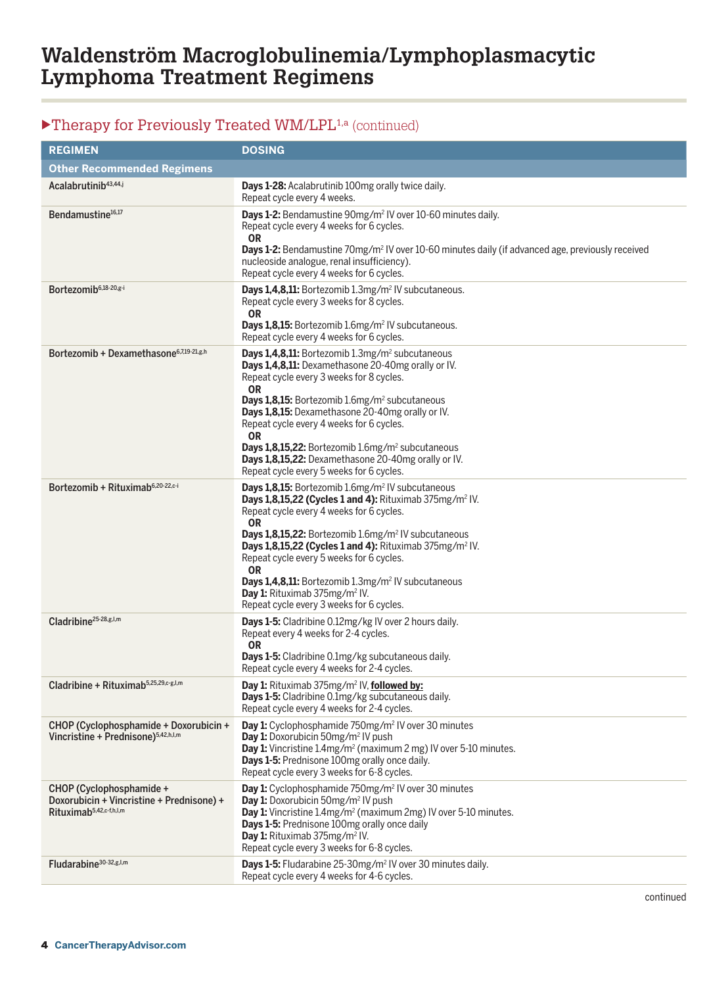## ▶Therapy for Previously Treated WM/LPL<sup>1,a</sup> (continued)

| <b>REGIMEN</b>                                                                                               | <b>DOSING</b>                                                                                                                                                                                                                                                                                                                                                                                                                                                                                                                                              |
|--------------------------------------------------------------------------------------------------------------|------------------------------------------------------------------------------------------------------------------------------------------------------------------------------------------------------------------------------------------------------------------------------------------------------------------------------------------------------------------------------------------------------------------------------------------------------------------------------------------------------------------------------------------------------------|
| <b>Other Recommended Regimens</b>                                                                            |                                                                                                                                                                                                                                                                                                                                                                                                                                                                                                                                                            |
| Acalabrutinib <sup>43,44,j</sup>                                                                             | Days 1-28: Acalabrutinib 100mg orally twice daily.<br>Repeat cycle every 4 weeks.                                                                                                                                                                                                                                                                                                                                                                                                                                                                          |
| Bendamustine <sup>16,17</sup>                                                                                | Days 1-2: Bendamustine 90mg/m <sup>2</sup> IV over 10-60 minutes daily.<br>Repeat cycle every 4 weeks for 6 cycles.<br><b>OR</b><br>Days 1-2: Bendamustine 70mg/m <sup>2</sup> IV over 10-60 minutes daily (if advanced age, previously received<br>nucleoside analogue, renal insufficiency).<br>Repeat cycle every 4 weeks for 6 cycles.                                                                                                                                                                                                                 |
| Bortezomib <sup>6,18-20,g-i</sup>                                                                            | Days 1,4,8,11: Bortezomib 1.3mg/m <sup>2</sup> IV subcutaneous.<br>Repeat cycle every 3 weeks for 8 cycles.<br><b>OR</b><br>Days 1,8,15: Bortezomib 1.6mg/m <sup>2</sup> IV subcutaneous.<br>Repeat cycle every 4 weeks for 6 cycles.                                                                                                                                                                                                                                                                                                                      |
| Bortezomib + Dexamethasone $6,7,19-21, g,h$                                                                  | Days 1,4,8,11: Bortezomib 1.3mg/m <sup>2</sup> subcutaneous<br>Days 1,4,8,11: Dexamethasone 20-40mg orally or IV.<br>Repeat cycle every 3 weeks for 8 cycles.<br><b>OR</b><br>Days 1,8,15: Bortezomib 1.6mg/m <sup>2</sup> subcutaneous<br>Days 1,8,15: Dexamethasone 20-40mg orally or IV.<br>Repeat cycle every 4 weeks for 6 cycles.<br><b>OR</b><br>Days 1,8,15,22: Bortezomib 1.6mg/m <sup>2</sup> subcutaneous<br>Days 1,8,15,22: Dexamethasone 20-40mg orally or IV.<br>Repeat cycle every 5 weeks for 6 cycles.                                    |
| Bortezomib + Rituximab <sup>6,20-22,c-i</sup>                                                                | Days 1,8,15: Bortezomib 1.6mg/m <sup>2</sup> IV subcutaneous<br>Days 1,8,15,22 (Cycles 1 and 4): Rituximab 375mg/m <sup>2</sup> IV.<br>Repeat cycle every 4 weeks for 6 cycles.<br><b>OR</b><br>Days 1,8,15,22: Bortezomib 1.6mg/m <sup>2</sup> IV subcutaneous<br>Days 1,8,15,22 (Cycles 1 and 4): Rituximab 375mg/m <sup>2</sup> IV.<br>Repeat cycle every 5 weeks for 6 cycles.<br><b>OR</b><br>Days 1,4,8,11: Bortezomib 1.3mg/m <sup>2</sup> IV subcutaneous<br>Day 1: Rituximab 375mg/m <sup>2</sup> IV.<br>Repeat cycle every 3 weeks for 6 cycles. |
| Cladribine <sup>25-28,g,l,m</sup>                                                                            | Days 1-5: Cladribine 0.12mg/kg IV over 2 hours daily.<br>Repeat every 4 weeks for 2-4 cycles.<br><b>OR</b><br>Days 1-5: Cladribine 0.1mg/kg subcutaneous daily.<br>Repeat cycle every 4 weeks for 2-4 cycles.                                                                                                                                                                                                                                                                                                                                              |
| Cladribine + Rituximab <sup>5,25,29,c-g,I,m</sup>                                                            | Day 1: Rituximab 375mg/m <sup>2</sup> IV, followed by:<br>Days 1-5: Cladribine 0.1mg/kg subcutaneous daily.<br>Repeat cycle every 4 weeks for 2-4 cycles.                                                                                                                                                                                                                                                                                                                                                                                                  |
| CHOP (Cyclophosphamide + Doxorubicin +<br>Vincristine + Prednisone) <sup>5,42,h,l,m</sup>                    | Day 1: Cyclophosphamide 750mg/m <sup>2</sup> IV over 30 minutes<br>Day 1: Doxorubicin 50mg/m <sup>2</sup> IV push<br>Day 1: Vincristine 1.4mg/m <sup>2</sup> (maximum 2 mg) IV over 5-10 minutes.<br>Davs 1-5: Prednisone 100mg orally once daily.<br>Repeat cycle every 3 weeks for 6-8 cycles.                                                                                                                                                                                                                                                           |
| CHOP (Cyclophosphamide +<br>Doxorubicin + Vincristine + Prednisone) +<br>Rituximab <sup>5,42,c-f,h,l,m</sup> | Day 1: Cyclophosphamide 750mg/m <sup>2</sup> IV over 30 minutes<br>Day 1: Doxorubicin 50mg/m <sup>2</sup> IV push<br>Day 1: Vincristine 1.4mg/m <sup>2</sup> (maximum 2mg) IV over 5-10 minutes.<br>Days 1-5: Prednisone 100mg orally once daily<br>Day 1: Rituximab 375mg/m <sup>2</sup> IV.<br>Repeat cycle every 3 weeks for 6-8 cycles.                                                                                                                                                                                                                |
| Fludarabine <sup>30-32,g,l,m</sup>                                                                           | Days 1-5: Fludarabine 25-30mg/m <sup>2</sup> IV over 30 minutes daily.<br>Repeat cycle every 4 weeks for 4-6 cycles.                                                                                                                                                                                                                                                                                                                                                                                                                                       |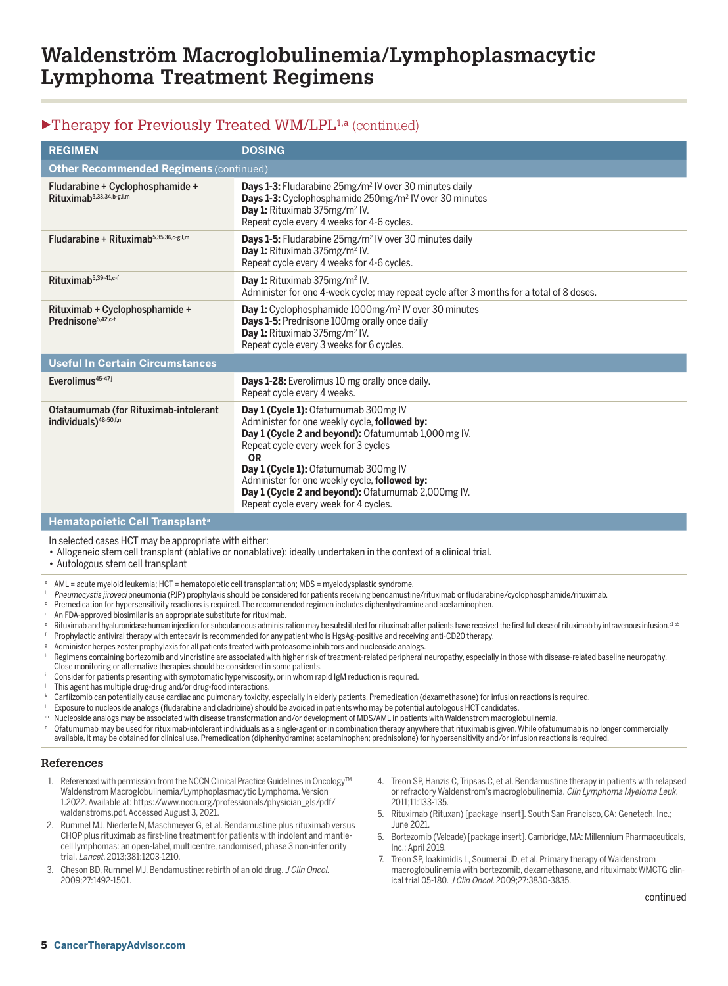### $\blacktriangleright$  Therapy for Previously Treated WM/LPL<sup>1,a</sup> (continued)

| <b>REGIMEN</b>                                                             | <b>DOSING</b>                                                                                                                                                                                                                                                                                                                                                                             |  |
|----------------------------------------------------------------------------|-------------------------------------------------------------------------------------------------------------------------------------------------------------------------------------------------------------------------------------------------------------------------------------------------------------------------------------------------------------------------------------------|--|
| <b>Other Recommended Regimens (continued)</b>                              |                                                                                                                                                                                                                                                                                                                                                                                           |  |
| Fludarabine + Cyclophosphamide +<br>Rituximab <sup>5,33,34,b-g,l,m</sup>   | <b>Days 1-3:</b> Fludarabine 25mg/m <sup>2</sup> IV over 30 minutes daily<br>Days 1-3: Cyclophosphamide 250mg/m <sup>2</sup> IV over 30 minutes<br>Day 1: Rituximab 375mg/m <sup>2</sup> IV.<br>Repeat cycle every 4 weeks for 4-6 cycles.                                                                                                                                                |  |
| Fludarabine + Rituximab $5,35,36, c \cdot g, l, m$                         | <b>Days 1-5:</b> Fludarabine 25mg/m <sup>2</sup> IV over 30 minutes daily<br>Day 1: Rituximab 375mg/m <sup>2</sup> IV.<br>Repeat cycle every 4 weeks for 4-6 cycles.                                                                                                                                                                                                                      |  |
| Rituximab <sup>5,39-41,c-f</sup>                                           | Day 1: Rituximab 375mg/m <sup>2</sup> IV.<br>Administer for one 4-week cycle; may repeat cycle after 3 months for a total of 8 doses.                                                                                                                                                                                                                                                     |  |
| Rituximab + Cyclophosphamide +<br>Prednisone <sup>5,42,c-f</sup>           | Day 1: Cyclophosphamide 1000mg/m <sup>2</sup> IV over 30 minutes<br>Days 1-5: Prednisone 100mg orally once daily<br>Day 1: Rituximab 375mg/m <sup>2</sup> IV.<br>Repeat cycle every 3 weeks for 6 cycles.                                                                                                                                                                                 |  |
| <b>Useful In Certain Circumstances</b>                                     |                                                                                                                                                                                                                                                                                                                                                                                           |  |
| Everolimus $45-47$                                                         | Days 1-28: Everolimus 10 mg orally once daily.<br>Repeat cycle every 4 weeks.                                                                                                                                                                                                                                                                                                             |  |
| Ofataumumab (for Rituximab-intolerant<br>individuals) <sup>48-50,f,n</sup> | Day 1 (Cycle 1): Ofatumumab 300mg IV<br>Administer for one weekly cycle, followed by:<br>Day 1 (Cycle 2 and beyond): Ofatumumab 1,000 mg IV.<br>Repeat cycle every week for 3 cycles<br><b>OR</b><br>Day 1 (Cycle 1): Ofatumumab 300mg IV<br>Administer for one weekly cycle, followed by:<br>Day 1 (Cycle 2 and beyond): Ofatumumab 2,000mg IV.<br>Repeat cycle every week for 4 cycles. |  |

#### **Hematopoietic Cell Transplanta**

In selected cases HCT may be appropriate with either:

- Allogeneic stem cell transplant (ablative or nonablative): ideally undertaken in the context of a clinical trial.
- Autologous stem cell transplant
- <sup>a</sup> AML = acute myeloid leukemia; HCT = hematopoietic cell transplantation; MDS = myelodysplastic syndrome.
- **b** Pneumocystis jiroveci pneumonia (PJP) prophylaxis should be considered for patients receiving bendamustine/rituximab or fludarabine/cyclophosphamide/rituximab.
- Premedication for hypersensitivity reactions is required. The recommended regimen includes diphenhydramine and acetaminophen.<br>An FDA-approved biosimilar is an appropriate substitute for rituximab.
- 
- Rituximab and hyaluronidase human injection for subcutaneous administration may be substituted for rituximab after patients have received the first full dose of rituximab by intravenous infusion.<sup>51-55</sup>
- 
- 
- Prophylactic antiviral therapy with entecavir is recommended for any patient who is HgsAg-positive and receiving anti-CD20 therapy.<br>Administer herpes zoster prophylaxis for all patients treated with proteasome inhibitors a Close monitoring or alternative therapies should be considered in some patients.
- Consider for patients presenting with symptomatic hyperviscosity, or in whom rapid IgM reduction is required.
- 
- This agent has multiple drug-drug and/or drug-food interactions.<br>Carfilzomib can potentially cause cardiac and pulmonary toxicity, especially in elderly patients. Premedication (dexamethasone) for infusion reactions is req
- <sup>l</sup> Exposure to nucleoside analogs (fludarabine and cladribine) should be avoided in patients who may be potential autologous HCT candidates.
- Nucleoside analogs may be associated with disease transformation and/or development of MDS/AML in patients with Waldenstrom macroglobulinemia.<br>Ofatumumab may be used for rituximab-intolerant individuals as a single-agent o
- available, it may be obtained for clinical use. Premedication (diphenhydramine; acetaminophen; prednisolone) for hypersensitivity and/or infusion reactions is required.

#### **References**

- 1. Referenced with permission from the NCCN Clinical Practice Guidelines in Oncology™ Waldenstrom Macroglobulinemia/Lymphoplasmacytic Lymphoma. Version 1.2022. Available at: https://www.nccn.org/professionals/physician\_gls/pdf/ waldenstroms.pdf. Accessed August 3, 2021.
- 2. Rummel MJ, Niederle N, Maschmeyer G, et al. Bendamustine plus rituximab versus CHOP plus rituximab as first-line treatment for patients with indolent and mantlecell lymphomas: an open-label, multicentre, randomised, phase 3 non-inferiority trial. Lancet. 2013;381:1203-1210.
- 3. Cheson BD, Rummel MJ. Bendamustine: rebirth of an old drug. J Clin Oncol. 2009;27:1492-1501.
- 4. Treon SP, Hanzis C, Tripsas C, et al. Bendamustine therapy in patients with relapsed or refractory Waldenstrom's macroglobulinemia. Clin Lymphoma Myeloma Leuk. 2011;11:133-135.
- 5. Rituximab (Rituxan) [package insert]. South San Francisco, CA: Genetech, Inc.; June 2021.
- 6. Bortezomib (Velcade) [package insert]. Cambridge, MA: Millennium Pharmaceuticals, Inc.; April 2019.
- 7. Treon SP, Ioakimidis L, Soumerai JD, et al. Primary therapy of Waldenstrom macroglobulinemia with bortezomib, dexamethasone, and rituximab: WMCTG clinical trial 05-180. J Clin Oncol. 2009;27:3830-3835.